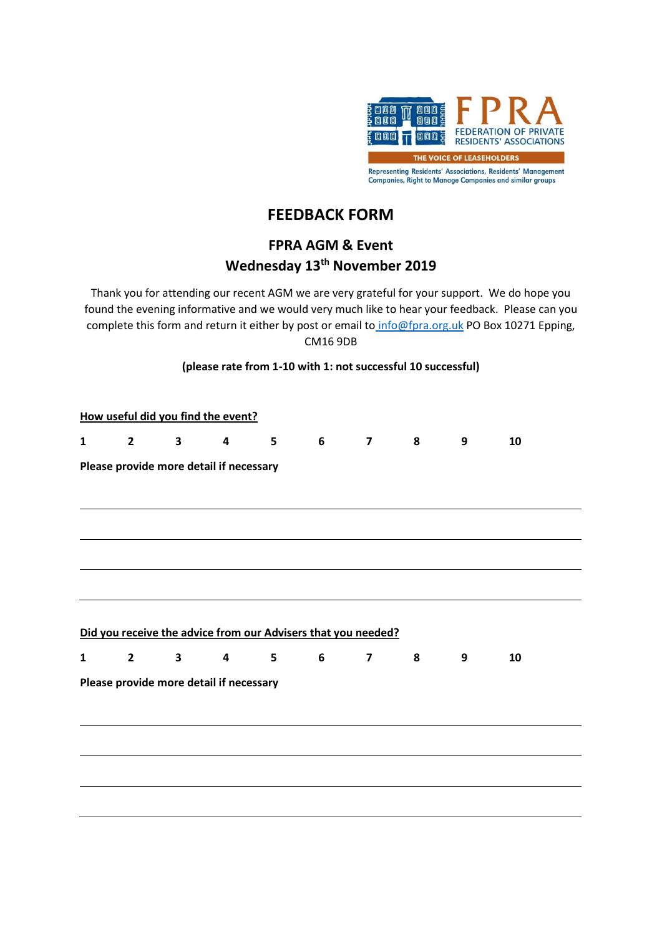

## **FEEDBACK FORM**

## **FPRA AGM & Event Wednesday 13th November 2019**

Thank you for attending our recent AGM we are very grateful for your support. We do hope you found the evening informative and we would very much like to hear your feedback. Please can you complete this form and return it either by post or email to [info@fpra.org.uk](mailto:info@fpra.org.uk) PO Box 10271 Epping, CM16 9DB

## **(please rate from 1-10 with 1: not successful 10 successful)**

|              |                |              | How useful did you find the event?      |                 |                                                               |                         |                         |                  |    |  |
|--------------|----------------|--------------|-----------------------------------------|-----------------|---------------------------------------------------------------|-------------------------|-------------------------|------------------|----|--|
| $\mathbf{1}$ | $\overline{2}$ | $\mathbf{3}$ | $\overline{\mathbf{4}}$                 | $5\phantom{.0}$ | $\overline{\phantom{a}}$ 6                                    | $\overline{7}$          | $\overline{\mathbf{8}}$ | $\boldsymbol{9}$ | 10 |  |
|              |                |              | Please provide more detail if necessary |                 |                                                               |                         |                         |                  |    |  |
|              |                |              |                                         |                 |                                                               |                         |                         |                  |    |  |
|              |                |              |                                         |                 |                                                               |                         |                         |                  |    |  |
|              |                |              |                                         |                 |                                                               |                         |                         |                  |    |  |
|              |                |              |                                         |                 | Did you receive the advice from our Advisers that you needed? |                         |                         |                  |    |  |
| $\mathbf{1}$ | $2^{\sim}$     | $3^{\circ}$  | $\overline{\mathbf{4}}$                 | 5               | 6                                                             | $\overline{\mathbf{z}}$ | 8                       | 9                | 10 |  |
|              |                |              | Please provide more detail if necessary |                 |                                                               |                         |                         |                  |    |  |
|              |                |              |                                         |                 |                                                               |                         |                         |                  |    |  |
|              |                |              |                                         |                 |                                                               |                         |                         |                  |    |  |
|              |                |              |                                         |                 |                                                               |                         |                         |                  |    |  |
|              |                |              |                                         |                 |                                                               |                         |                         |                  |    |  |